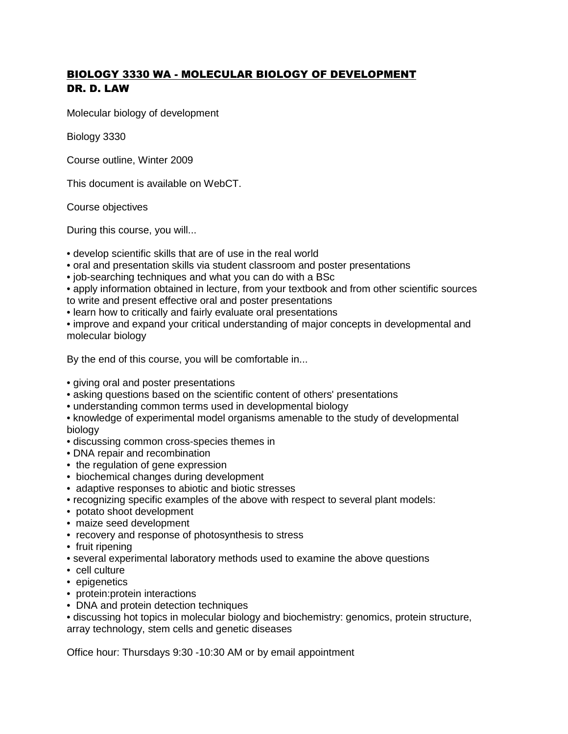## BIOLOGY 3330 WA - MOLECULAR BIOLOGY OF DEVELOPMENT DR. D. LAW

Molecular biology of development

Biology 3330

Course outline, Winter 2009

This document is available on WebCT.

Course objectives

During this course, you will...

• develop scientific skills that are of use in the real world

- oral and presentation skills via student classroom and poster presentations
- job-searching techniques and what you can do with a BSc
- apply information obtained in lecture, from your textbook and from other scientific sources to write and present effective oral and poster presentations
- learn how to critically and fairly evaluate oral presentations

• improve and expand your critical understanding of major concepts in developmental and molecular biology

By the end of this course, you will be comfortable in...

- giving oral and poster presentations
- asking questions based on the scientific content of others' presentations
- understanding common terms used in developmental biology
- knowledge of experimental model organisms amenable to the study of developmental biology
- discussing common cross-species themes in
- DNA repair and recombination
- the regulation of gene expression
- biochemical changes during development
- adaptive responses to abiotic and biotic stresses
- recognizing specific examples of the above with respect to several plant models:
- potato shoot development
- maize seed development
- recovery and response of photosynthesis to stress
- fruit ripening
- several experimental laboratory methods used to examine the above questions
- cell culture
- epigenetics
- protein:protein interactions
- DNA and protein detection techniques

• discussing hot topics in molecular biology and biochemistry: genomics, protein structure, array technology, stem cells and genetic diseases

Office hour: Thursdays 9:30 -10:30 AM or by email appointment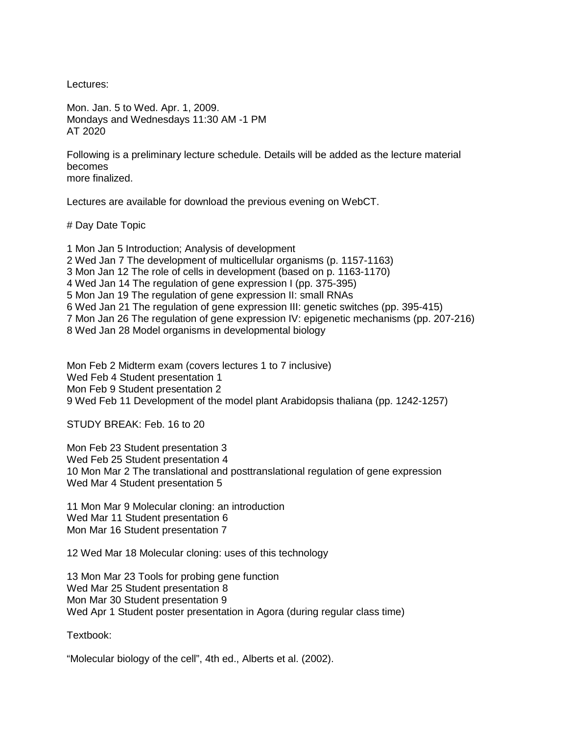Lectures:

Mon. Jan. 5 to Wed. Apr. 1, 2009. Mondays and Wednesdays 11:30 AM -1 PM AT 2020

Following is a preliminary lecture schedule. Details will be added as the lecture material becomes more finalized.

Lectures are available for download the previous evening on WebCT.

# Day Date Topic

1 Mon Jan 5 Introduction; Analysis of development 2 Wed Jan 7 The development of multicellular organisms (p. 1157-1163) 3 Mon Jan 12 The role of cells in development (based on p. 1163-1170) 4 Wed Jan 14 The regulation of gene expression I (pp. 375-395) 5 Mon Jan 19 The regulation of gene expression II: small RNAs 6 Wed Jan 21 The regulation of gene expression III: genetic switches (pp. 395-415) 7 Mon Jan 26 The regulation of gene expression IV: epigenetic mechanisms (pp. 207-216) 8 Wed Jan 28 Model organisms in developmental biology

Mon Feb 2 Midterm exam (covers lectures 1 to 7 inclusive) Wed Feb 4 Student presentation 1 Mon Feb 9 Student presentation 2 9 Wed Feb 11 Development of the model plant Arabidopsis thaliana (pp. 1242-1257)

STUDY BREAK: Feb. 16 to 20

Mon Feb 23 Student presentation 3 Wed Feb 25 Student presentation 4 10 Mon Mar 2 The translational and posttranslational regulation of gene expression Wed Mar 4 Student presentation 5

11 Mon Mar 9 Molecular cloning: an introduction Wed Mar 11 Student presentation 6 Mon Mar 16 Student presentation 7

12 Wed Mar 18 Molecular cloning: uses of this technology

13 Mon Mar 23 Tools for probing gene function Wed Mar 25 Student presentation 8 Mon Mar 30 Student presentation 9 Wed Apr 1 Student poster presentation in Agora (during regular class time)

Textbook:

"Molecular biology of the cell", 4th ed., Alberts et al. (2002).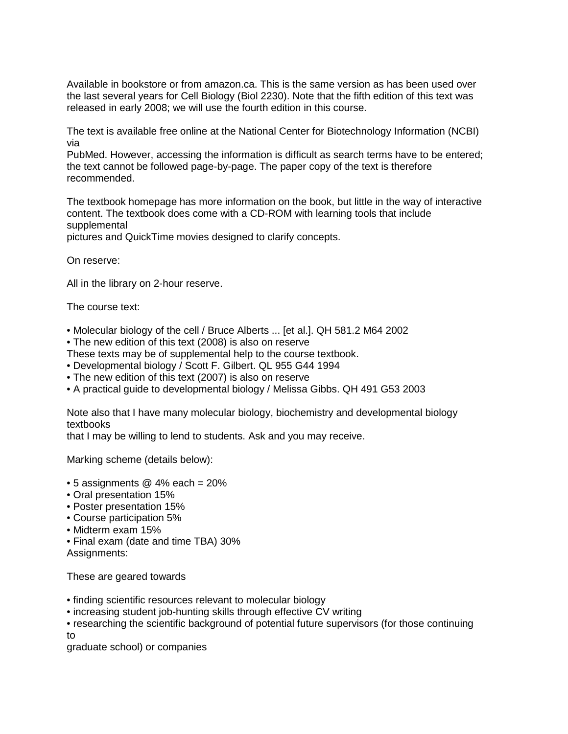Available in bookstore or from amazon.ca. This is the same version as has been used over the last several years for Cell Biology (Biol 2230). Note that the fifth edition of this text was released in early 2008; we will use the fourth edition in this course.

The text is available free online at the National Center for Biotechnology Information (NCBI) via

PubMed. However, accessing the information is difficult as search terms have to be entered; the text cannot be followed page-by-page. The paper copy of the text is therefore recommended.

The textbook homepage has more information on the book, but little in the way of interactive content. The textbook does come with a CD-ROM with learning tools that include supplemental

pictures and QuickTime movies designed to clarify concepts.

On reserve:

All in the library on 2-hour reserve.

The course text:

- Molecular biology of the cell / Bruce Alberts ... [et al.]. QH 581.2 M64 2002
- The new edition of this text (2008) is also on reserve
- These texts may be of supplemental help to the course textbook.
- Developmental biology / Scott F. Gilbert. QL 955 G44 1994
- The new edition of this text (2007) is also on reserve
- A practical guide to developmental biology / Melissa Gibbs. QH 491 G53 2003

Note also that I have many molecular biology, biochemistry and developmental biology textbooks

that I may be willing to lend to students. Ask and you may receive.

Marking scheme (details below):

- $\bullet$  5 assignments  $\omega$  4% each = 20%
- Oral presentation 15%
- Poster presentation 15%
- Course participation 5%
- Midterm exam 15%
- Final exam (date and time TBA) 30%

Assignments:

These are geared towards

- finding scientific resources relevant to molecular biology
- increasing student job-hunting skills through effective CV writing
- researching the scientific background of potential future supervisors (for those continuing to

graduate school) or companies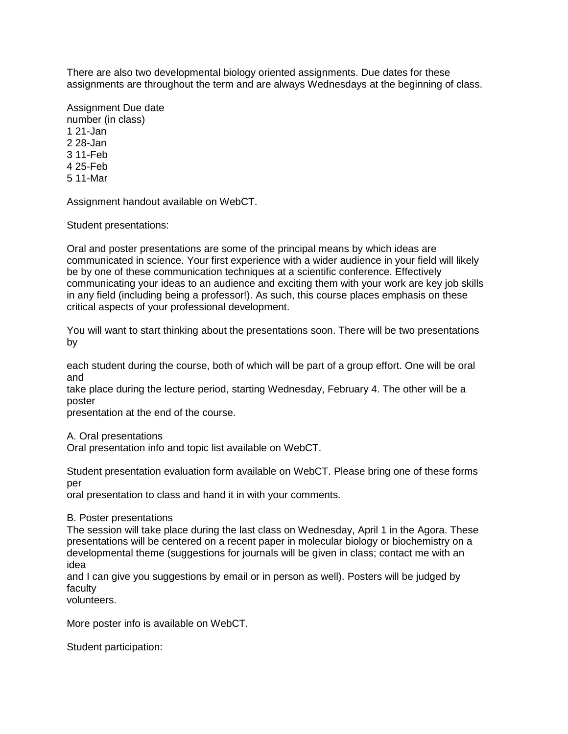There are also two developmental biology oriented assignments. Due dates for these assignments are throughout the term and are always Wednesdays at the beginning of class.

Assignment Due date number (in class) 1 21-Jan 2 28-Jan 3 11-Feb 4 25-Feb 5 11-Mar

Assignment handout available on WebCT.

Student presentations:

Oral and poster presentations are some of the principal means by which ideas are communicated in science. Your first experience with a wider audience in your field will likely be by one of these communication techniques at a scientific conference. Effectively communicating your ideas to an audience and exciting them with your work are key job skills in any field (including being a professor!). As such, this course places emphasis on these critical aspects of your professional development.

You will want to start thinking about the presentations soon. There will be two presentations by

each student during the course, both of which will be part of a group effort. One will be oral and

take place during the lecture period, starting Wednesday, February 4. The other will be a poster

presentation at the end of the course.

A. Oral presentations

Oral presentation info and topic list available on WebCT.

Student presentation evaluation form available on WebCT. Please bring one of these forms per

oral presentation to class and hand it in with your comments.

## B. Poster presentations

The session will take place during the last class on Wednesday, April 1 in the Agora. These presentations will be centered on a recent paper in molecular biology or biochemistry on a developmental theme (suggestions for journals will be given in class; contact me with an idea

and I can give you suggestions by email or in person as well). Posters will be judged by faculty

volunteers.

More poster info is available on WebCT.

Student participation: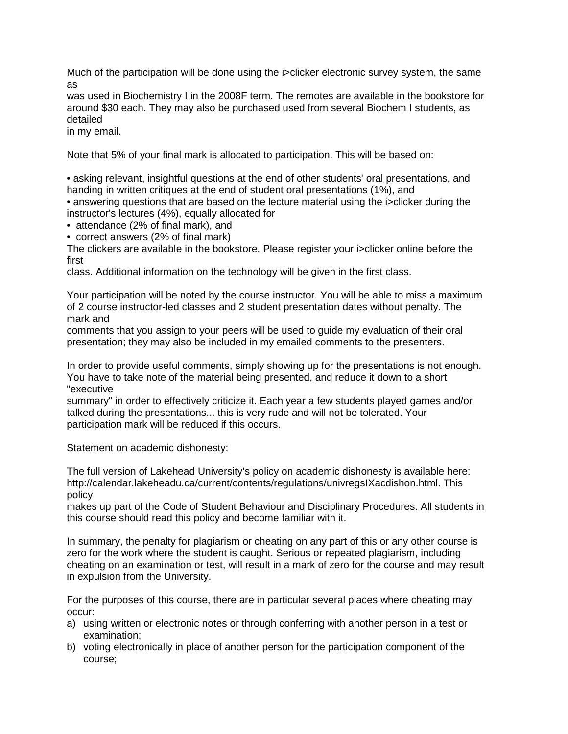Much of the participation will be done using the i>clicker electronic survey system, the same as

was used in Biochemistry I in the 2008F term. The remotes are available in the bookstore for around \$30 each. They may also be purchased used from several Biochem I students, as detailed

in my email.

Note that 5% of your final mark is allocated to participation. This will be based on:

• asking relevant, insightful questions at the end of other students' oral presentations, and handing in written critiques at the end of student oral presentations (1%), and

• answering questions that are based on the lecture material using the i>clicker during the instructor's lectures (4%), equally allocated for

• attendance (2% of final mark), and

• correct answers (2% of final mark)

The clickers are available in the bookstore. Please register your i>clicker online before the first

class. Additional information on the technology will be given in the first class.

Your participation will be noted by the course instructor. You will be able to miss a maximum of 2 course instructor-led classes and 2 student presentation dates without penalty. The mark and

comments that you assign to your peers will be used to guide my evaluation of their oral presentation; they may also be included in my emailed comments to the presenters.

In order to provide useful comments, simply showing up for the presentations is not enough. You have to take note of the material being presented, and reduce it down to a short "executive

summary" in order to effectively criticize it. Each year a few students played games and/or talked during the presentations... this is very rude and will not be tolerated. Your participation mark will be reduced if this occurs.

Statement on academic dishonesty:

The full version of Lakehead University's policy on academic dishonesty is available here: http://calendar.lakeheadu.ca/current/contents/regulations/univregsIXacdishon.html. This policy

makes up part of the Code of Student Behaviour and Disciplinary Procedures. All students in this course should read this policy and become familiar with it.

In summary, the penalty for plagiarism or cheating on any part of this or any other course is zero for the work where the student is caught. Serious or repeated plagiarism, including cheating on an examination or test, will result in a mark of zero for the course and may result in expulsion from the University.

For the purposes of this course, there are in particular several places where cheating may occur:

- a) using written or electronic notes or through conferring with another person in a test or examination;
- b) voting electronically in place of another person for the participation component of the course;